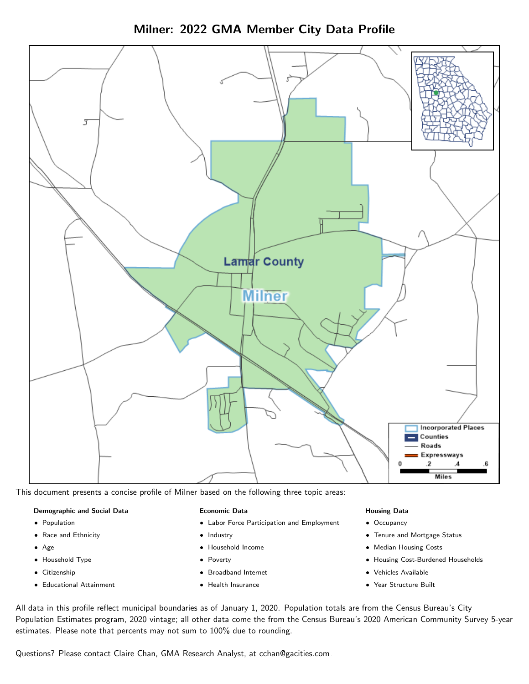Milner: 2022 GMA Member City Data Profile



This document presents a concise profile of Milner based on the following three topic areas:

### Demographic and Social Data

- **•** Population
- Race and Ethnicity
- Age
- Household Type
- **Citizenship**
- Educational Attainment

### Economic Data

- Labor Force Participation and Employment
- Industry
- Household Income
- Poverty
- Broadband Internet
- Health Insurance

#### Housing Data

- Occupancy
- Tenure and Mortgage Status
- Median Housing Costs
- Housing Cost-Burdened Households
- Vehicles Available
- Year Structure Built

All data in this profile reflect municipal boundaries as of January 1, 2020. Population totals are from the Census Bureau's City Population Estimates program, 2020 vintage; all other data come the from the Census Bureau's 2020 American Community Survey 5-year estimates. Please note that percents may not sum to 100% due to rounding.

Questions? Please contact Claire Chan, GMA Research Analyst, at [cchan@gacities.com.](mailto:cchan@gacities.com)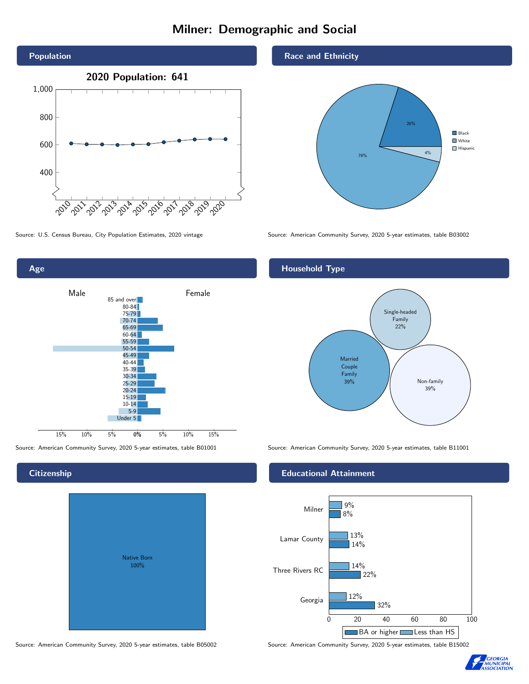# Milner: Demographic and Social





# Native Born 100%

#### Source: American Community Survey, 2020 5-year estimates, table B05002 Source: American Community Survey, 2020 5-year estimates, table B15002

Race and Ethnicity



Source: U.S. Census Bureau, City Population Estimates, 2020 vintage Source: American Community Survey, 2020 5-year estimates, table B03002

# Household Type



Source: American Community Survey, 2020 5-year estimates, table B01001 Source: American Community Survey, 2020 5-year estimates, table B11001

## Educational Attainment





# **Citizenship**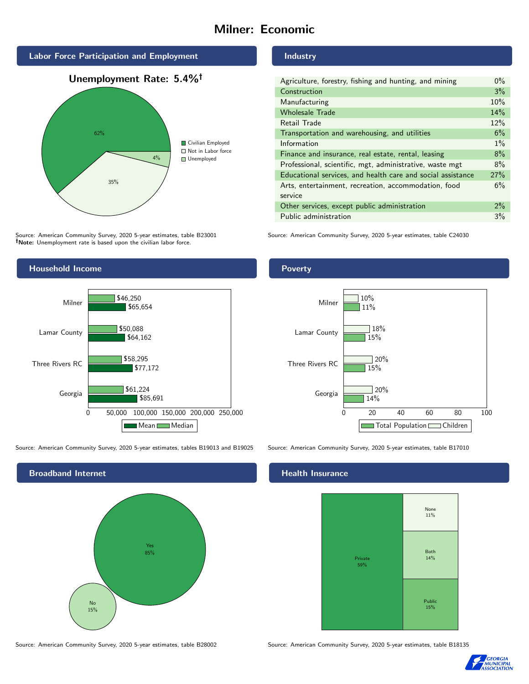# Milner: Economic







Source: American Community Survey, 2020 5-year estimates, table B23001 Note: Unemployment rate is based upon the civilian labor force.



Source: American Community Survey, 2020 5-year estimates, tables B19013 and B19025 Source: American Community Survey, 2020 5-year estimates, table B17010



Source: American Community Survey, 2020 5-year estimates, table B28002 Source: American Community Survey, 2020 5-year estimates, table B18135

### Industry

| Agriculture, forestry, fishing and hunting, and mining      | $0\%$ |
|-------------------------------------------------------------|-------|
| Construction                                                | 3%    |
| Manufacturing                                               | 10%   |
| <b>Wholesale Trade</b>                                      | 14%   |
| Retail Trade                                                | 12%   |
| Transportation and warehousing, and utilities               | 6%    |
| Information                                                 | $1\%$ |
| Finance and insurance, real estate, rental, leasing         | 8%    |
| Professional, scientific, mgt, administrative, waste mgt    | 8%    |
| Educational services, and health care and social assistance | 27%   |
| Arts, entertainment, recreation, accommodation, food        | 6%    |
| service                                                     |       |
| Other services, except public administration                | $2\%$ |
| Public administration                                       | 3%    |

Source: American Community Survey, 2020 5-year estimates, table C24030



# **Health Insurance**